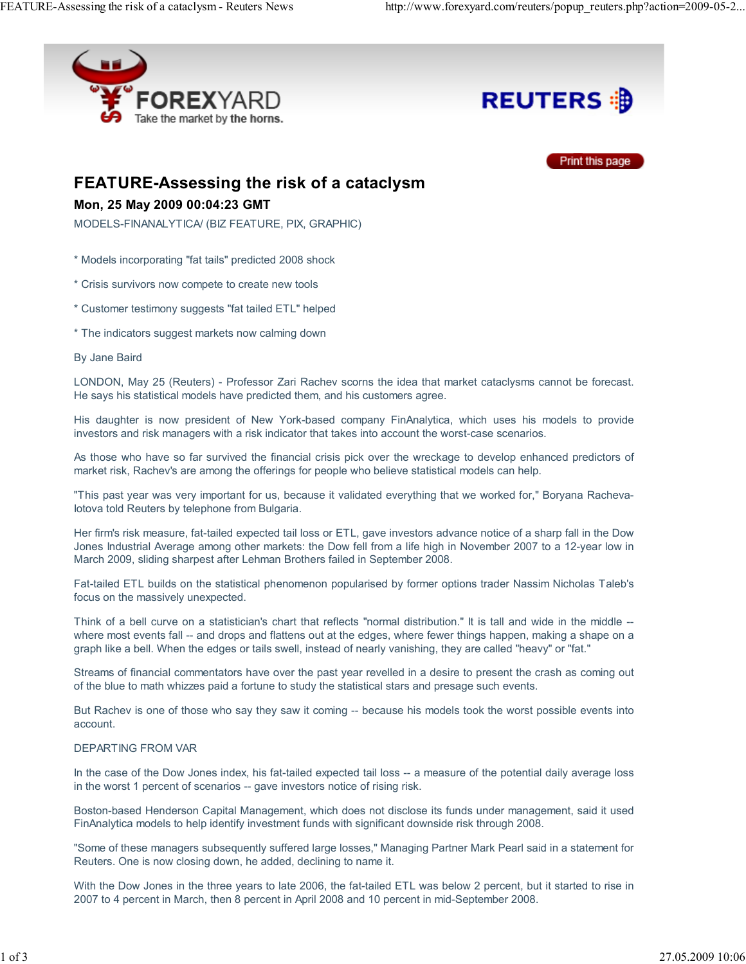



## Print this page

# FEATURE-Assessing the risk of a cataclysm

# Mon, 25 May 2009 00:04:23 GMT

MODELS-FINANALYTICA/ (BIZ FEATURE, PIX, GRAPHIC)

\* Models incorporating "fat tails" predicted 2008 shock

- \* Crisis survivors now compete to create new tools
- \* Customer testimony suggests "fat tailed ETL" helped
- \* The indicators suggest markets now calming down

## By Jane Baird

LONDON, May 25 (Reuters) - Professor Zari Rachev scorns the idea that market cataclysms cannot be forecast. He says his statistical models have predicted them, and his customers agree.

His daughter is now president of New York-based company FinAnalytica, which uses his models to provide investors and risk managers with a risk indicator that takes into account the worst-case scenarios.

As those who have so far survived the financial crisis pick over the wreckage to develop enhanced predictors of market risk, Rachev's are among the offerings for people who believe statistical models can help.

"This past year was very important for us, because it validated everything that we worked for," Boryana Racheva-Iotova told Reuters by telephone from Bulgaria.

Her firm's risk measure, fat-tailed expected tail loss or ETL, gave investors advance notice of a sharp fall in the Dow Jones Industrial Average among other markets: the Dow fell from a life high in November 2007 to a 12-year low in March 2009, sliding sharpest after Lehman Brothers failed in September 2008.

Fat-tailed ETL builds on the statistical phenomenon popularised by former options trader Nassim Nicholas Taleb's focus on the massively unexpected.

Think of a bell curve on a statistician's chart that reflects "normal distribution." It is tall and wide in the middle - where most events fall -- and drops and flattens out at the edges, where fewer things happen, making a shape on a graph like a bell. When the edges or tails swell, instead of nearly vanishing, they are called "heavy" or "fat."

Streams of financial commentators have over the past year revelled in a desire to present the crash as coming out of the blue to math whizzes paid a fortune to study the statistical stars and presage such events.

But Rachev is one of those who say they saw it coming -- because his models took the worst possible events into account.

## DEPARTING FROM VAR

In the case of the Dow Jones index, his fat-tailed expected tail loss -- a measure of the potential daily average loss in the worst 1 percent of scenarios -- gave investors notice of rising risk.

Boston-based Henderson Capital Management, which does not disclose its funds under management, said it used FinAnalytica models to help identify investment funds with significant downside risk through 2008.

"Some of these managers subsequently suffered large losses," Managing Partner Mark Pearl said in a statement for Reuters. One is now closing down, he added, declining to name it.

With the Dow Jones in the three years to late 2006, the fat-tailed ETL was below 2 percent, but it started to rise in 2007 to 4 percent in March, then 8 percent in April 2008 and 10 percent in mid-September 2008.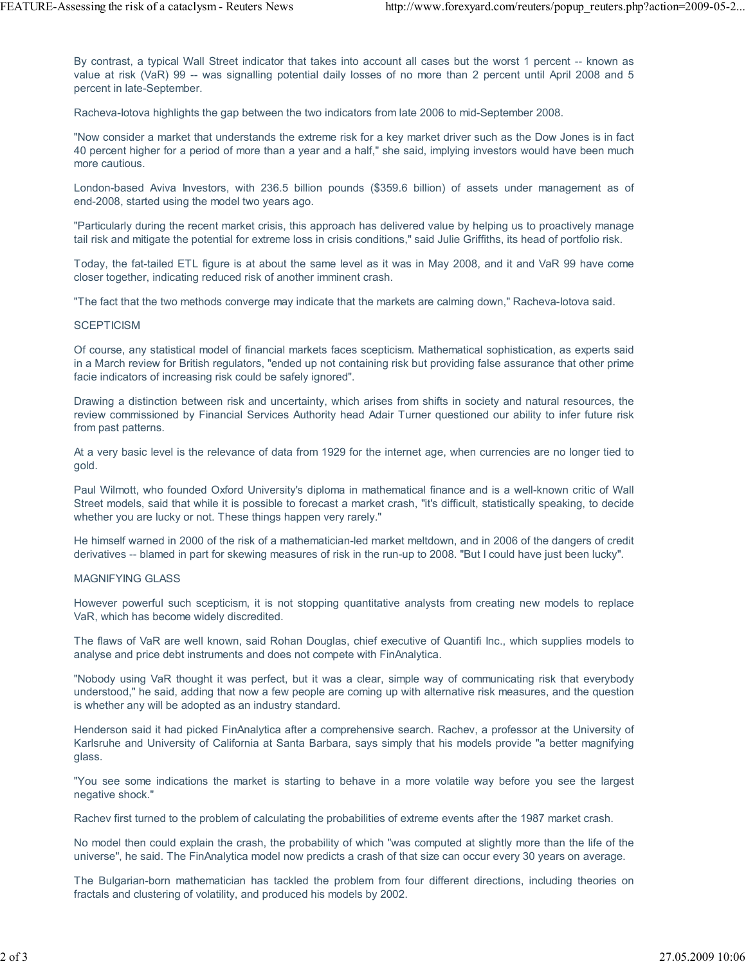By contrast, a typical Wall Street indicator that takes into account all cases but the worst 1 percent -- known as value at risk (VaR) 99 -- was signalling potential daily losses of no more than 2 percent until April 2008 and 5 percent in late-September.

Racheva-Iotova highlights the gap between the two indicators from late 2006 to mid-September 2008.

"Now consider a market that understands the extreme risk for a key market driver such as the Dow Jones is in fact 40 percent higher for a period of more than a year and a half," she said, implying investors would have been much more cautious.

London-based Aviva Investors, with 236.5 billion pounds (\$359.6 billion) of assets under management as of end-2008, started using the model two years ago.

"Particularly during the recent market crisis, this approach has delivered value by helping us to proactively manage tail risk and mitigate the potential for extreme loss in crisis conditions," said Julie Griffiths, its head of portfolio risk.

Today, the fat-tailed ETL figure is at about the same level as it was in May 2008, and it and VaR 99 have come closer together, indicating reduced risk of another imminent crash.

"The fact that the two methods converge may indicate that the markets are calming down," Racheva-Iotova said.

#### **SCEPTICISM**

Of course, any statistical model of financial markets faces scepticism. Mathematical sophistication, as experts said in a March review for British regulators, "ended up not containing risk but providing false assurance that other prime facie indicators of increasing risk could be safely ignored".

Drawing a distinction between risk and uncertainty, which arises from shifts in society and natural resources, the review commissioned by Financial Services Authority head Adair Turner questioned our ability to infer future risk from past patterns.

At a very basic level is the relevance of data from 1929 for the internet age, when currencies are no longer tied to gold.

Paul Wilmott, who founded Oxford University's diploma in mathematical finance and is a well-known critic of Wall Street models, said that while it is possible to forecast a market crash, "it's difficult, statistically speaking, to decide whether you are lucky or not. These things happen very rarely."

He himself warned in 2000 of the risk of a mathematician-led market meltdown, and in 2006 of the dangers of credit derivatives -- blamed in part for skewing measures of risk in the run-up to 2008. "But I could have just been lucky".

#### MAGNIFYING GLASS

However powerful such scepticism, it is not stopping quantitative analysts from creating new models to replace VaR, which has become widely discredited.

The flaws of VaR are well known, said Rohan Douglas, chief executive of Quantifi Inc., which supplies models to analyse and price debt instruments and does not compete with FinAnalytica.

"Nobody using VaR thought it was perfect, but it was a clear, simple way of communicating risk that everybody understood," he said, adding that now a few people are coming up with alternative risk measures, and the question is whether any will be adopted as an industry standard.

Henderson said it had picked FinAnalytica after a comprehensive search. Rachev, a professor at the University of Karlsruhe and University of California at Santa Barbara, says simply that his models provide "a better magnifying glass.

"You see some indications the market is starting to behave in a more volatile way before you see the largest negative shock."

Rachev first turned to the problem of calculating the probabilities of extreme events after the 1987 market crash.

No model then could explain the crash, the probability of which "was computed at slightly more than the life of the universe", he said. The FinAnalytica model now predicts a crash of that size can occur every 30 years on average.

The Bulgarian-born mathematician has tackled the problem from four different directions, including theories on fractals and clustering of volatility, and produced his models by 2002.